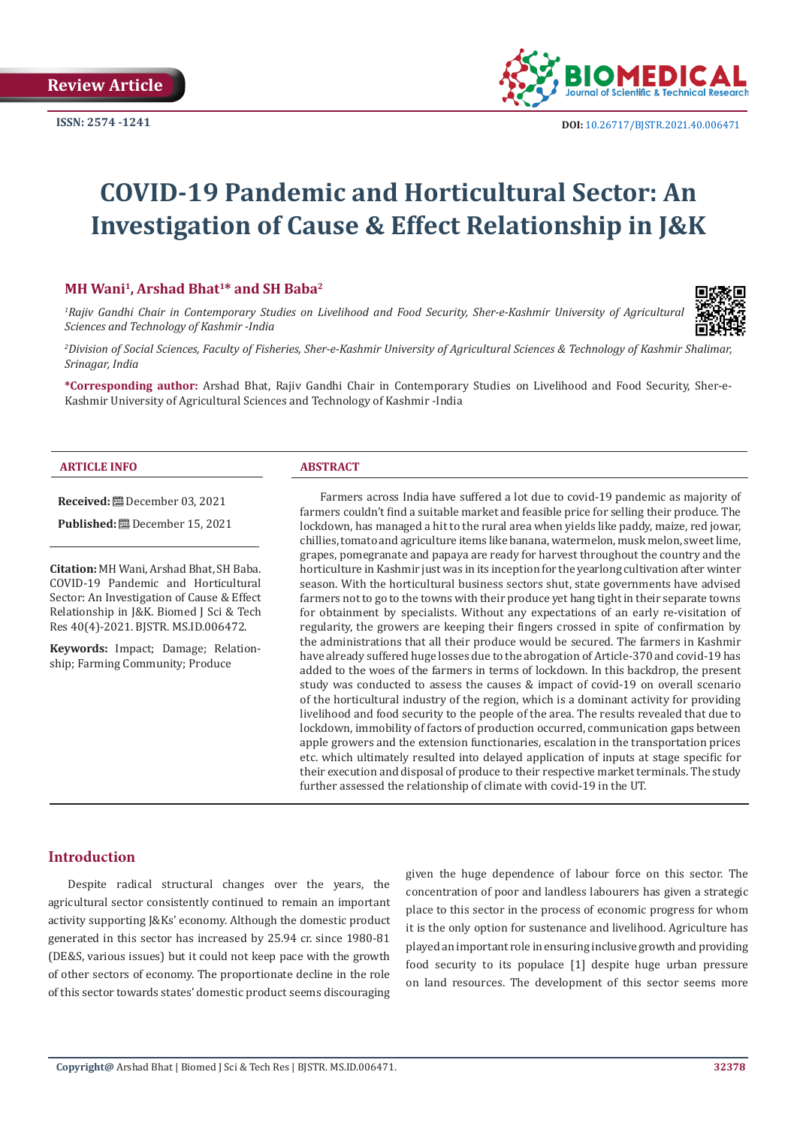

**ISSN:** 2574 -1241 **DOI:** [10.26717/BJSTR.2021.40.006471](https://dx.doi.org/10.26717/BJSTR.2021.40.006471)

# **COVID-19 Pandemic and Horticultural Sector: An Investigation of Cause & Effect Relationship in J&K**

# **MH Wani1, Arshad Bhat1\* and SH Baba2**

<sup>1</sup> Rajiv Gandhi Chair in Contemporary Studies on Livelihood and Food Security, Sher-e-Kashmir University of Agricultural *Sciences and Technology of Kashmir -India*



*2 Division of Social Sciences, Faculty of Fisheries, Sher-e-Kashmir University of Agricultural Sciences & Technology of Kashmir Shalimar, Srinagar, India*

**\*Corresponding author:** Arshad Bhat, Rajiv Gandhi Chair in Contemporary Studies on Livelihood and Food Security, Sher-e-Kashmir University of Agricultural Sciences and Technology of Kashmir -India

#### **ARTICLE INFO ABSTRACT**

**Received:** December 03, 2021

**Published:** December 15, 2021

**Citation:** MH Wani, Arshad Bhat, SH Baba. COVID-19 Pandemic and Horticultural Sector: An Investigation of Cause & Effect Relationship in J&K. Biomed J Sci & Tech Res 40(4)-2021. BJSTR. MS.ID.006472.

**Keywords:** Impact; Damage; Relationship; Farming Community; Produce

Farmers across India have suffered a lot due to covid-19 pandemic as majority of farmers couldn't find a suitable market and feasible price for selling their produce. The lockdown, has managed a hit to the rural area when yields like paddy, maize, red jowar, chillies, tomato and agriculture items like banana, watermelon, musk melon, sweet lime, grapes, pomegranate and papaya are ready for harvest throughout the country and the horticulture in Kashmir just was in its inception for the yearlong cultivation after winter season. With the horticultural business sectors shut, state governments have advised farmers not to go to the towns with their produce yet hang tight in their separate towns for obtainment by specialists. Without any expectations of an early re-visitation of regularity, the growers are keeping their fingers crossed in spite of confirmation by the administrations that all their produce would be secured. The farmers in Kashmir have already suffered huge losses due to the abrogation of Article-370 and covid-19 has added to the woes of the farmers in terms of lockdown. In this backdrop, the present study was conducted to assess the causes & impact of covid-19 on overall scenario of the horticultural industry of the region, which is a dominant activity for providing livelihood and food security to the people of the area. The results revealed that due to lockdown, immobility of factors of production occurred, communication gaps between apple growers and the extension functionaries, escalation in the transportation prices etc. which ultimately resulted into delayed application of inputs at stage specific for their execution and disposal of produce to their respective market terminals. The study further assessed the relationship of climate with covid-19 in the UT.

# **Introduction**

Despite radical structural changes over the years, the agricultural sector consistently continued to remain an important activity supporting J&Ks' economy. Although the domestic product generated in this sector has increased by 25.94 cr. since 1980-81 (DE&S, various issues) but it could not keep pace with the growth of other sectors of economy. The proportionate decline in the role of this sector towards states' domestic product seems discouraging given the huge dependence of labour force on this sector. The concentration of poor and landless labourers has given a strategic place to this sector in the process of economic progress for whom it is the only option for sustenance and livelihood. Agriculture has played an important role in ensuring inclusive growth and providing food security to its populace [1] despite huge urban pressure on land resources. The development of this sector seems more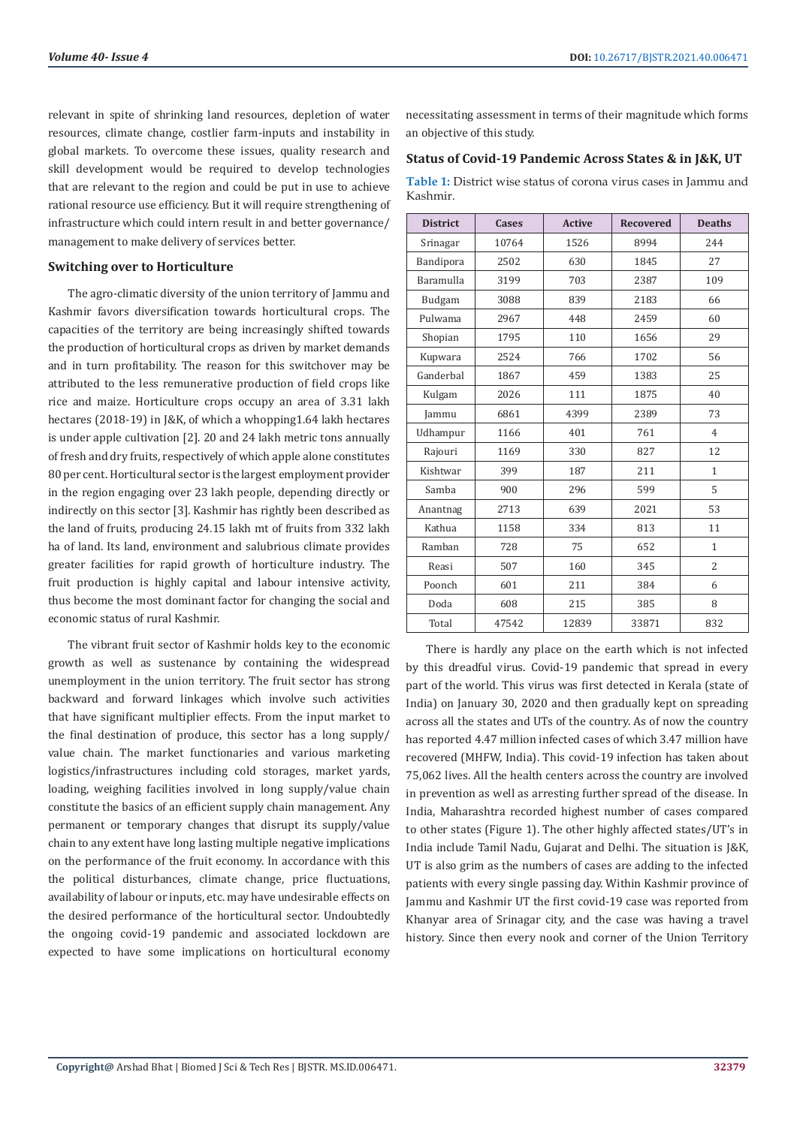relevant in spite of shrinking land resources, depletion of water resources, climate change, costlier farm-inputs and instability in global markets. To overcome these issues, quality research and skill development would be required to develop technologies that are relevant to the region and could be put in use to achieve rational resource use efficiency. But it will require strengthening of infrastructure which could intern result in and better governance/ management to make delivery of services better.

#### **Switching over to Horticulture**

The agro-climatic diversity of the union territory of Jammu and Kashmir favors diversification towards horticultural crops. The capacities of the territory are being increasingly shifted towards the production of horticultural crops as driven by market demands and in turn profitability. The reason for this switchover may be attributed to the less remunerative production of field crops like rice and maize. Horticulture crops occupy an area of 3.31 lakh hectares (2018-19) in J&K, of which a whopping1.64 lakh hectares is under apple cultivation [2]. 20 and 24 lakh metric tons annually of fresh and dry fruits, respectively of which apple alone constitutes 80 per cent. Horticultural sector is the largest employment provider in the region engaging over 23 lakh people, depending directly or indirectly on this sector [3]. Kashmir has rightly been described as the land of fruits, producing 24.15 lakh mt of fruits from 332 lakh ha of land. Its land, environment and salubrious climate provides greater facilities for rapid growth of horticulture industry. The fruit production is highly capital and labour intensive activity, thus become the most dominant factor for changing the social and economic status of rural Kashmir.

The vibrant fruit sector of Kashmir holds key to the economic growth as well as sustenance by containing the widespread unemployment in the union territory. The fruit sector has strong backward and forward linkages which involve such activities that have significant multiplier effects. From the input market to the final destination of produce, this sector has a long supply/ value chain. The market functionaries and various marketing logistics/infrastructures including cold storages, market yards, loading, weighing facilities involved in long supply/value chain constitute the basics of an efficient supply chain management. Any permanent or temporary changes that disrupt its supply/value chain to any extent have long lasting multiple negative implications on the performance of the fruit economy. In accordance with this the political disturbances, climate change, price fluctuations, availability of labour or inputs, etc. may have undesirable effects on the desired performance of the horticultural sector. Undoubtedly the ongoing covid-19 pandemic and associated lockdown are expected to have some implications on horticultural economy

necessitating assessment in terms of their magnitude which forms an objective of this study.

## **Status of Covid-19 Pandemic Across States & in J&K, UT**

**Table 1:** District wise status of corona virus cases in Jammu and Kashmir.

| <b>District</b>  | <b>Cases</b> | <b>Active</b> | <b>Recovered</b> | <b>Deaths</b>  |
|------------------|--------------|---------------|------------------|----------------|
| Srinagar         | 10764        | 1526          | 8994             | 244            |
| Bandipora        | 2502         | 630           | 1845             | 27             |
| <b>Baramulla</b> | 3199         | 703           | 2387             | 109            |
| Budgam           | 3088         | 839           | 2183             | 66             |
| Pulwama          | 2967         | 448           | 2459             | 60             |
| Shopian          | 1795         | 110           | 1656             | 29             |
| Kupwara          | 2524         | 766           | 1702             | 56             |
| Ganderbal        | 1867         | 459           | 1383             | 25             |
| Kulgam           | 2026         | 111           | 1875             | 40             |
| Jammu            | 6861         | 4399          | 2389             | 73             |
| Udhampur         | 1166         | 401           | 761              | $\overline{4}$ |
| Rajouri          | 1169         | 330           | 827              | 12             |
| Kishtwar         | 399          | 187           | 211              | $\mathbf{1}$   |
| Samba            | 900          | 296           | 599              | 5              |
| Anantnag         | 2713         | 639           | 2021             | 53             |
| Kathua           | 1158         | 334           | 813              | 11             |
| Ramban           | 728          | 75            | 652              | $\mathbf{1}$   |
| Reasi            | 507          | 160           | 345              | $\overline{2}$ |
| Poonch           | 601          | 211           | 384              | 6              |
| Doda             | 608          | 215           | 385              | 8              |
| Total            | 47542        | 12839         | 33871            | 832            |

There is hardly any place on the earth which is not infected by this dreadful virus. Covid-19 pandemic that spread in every part of the world. This virus was first detected in Kerala (state of India) on January 30, 2020 and then gradually kept on spreading across all the states and UTs of the country. As of now the country has reported 4.47 million infected cases of which 3.47 million have recovered (MHFW, India). This covid-19 infection has taken about 75,062 lives. All the health centers across the country are involved in prevention as well as arresting further spread of the disease. In India, Maharashtra recorded highest number of cases compared to other states (Figure 1). The other highly affected states/UT's in India include Tamil Nadu, Gujarat and Delhi. The situation is J&K, UT is also grim as the numbers of cases are adding to the infected patients with every single passing day. Within Kashmir province of Jammu and Kashmir UT the first covid-19 case was reported from Khanyar area of Srinagar city, and the case was having a travel history. Since then every nook and corner of the Union Territory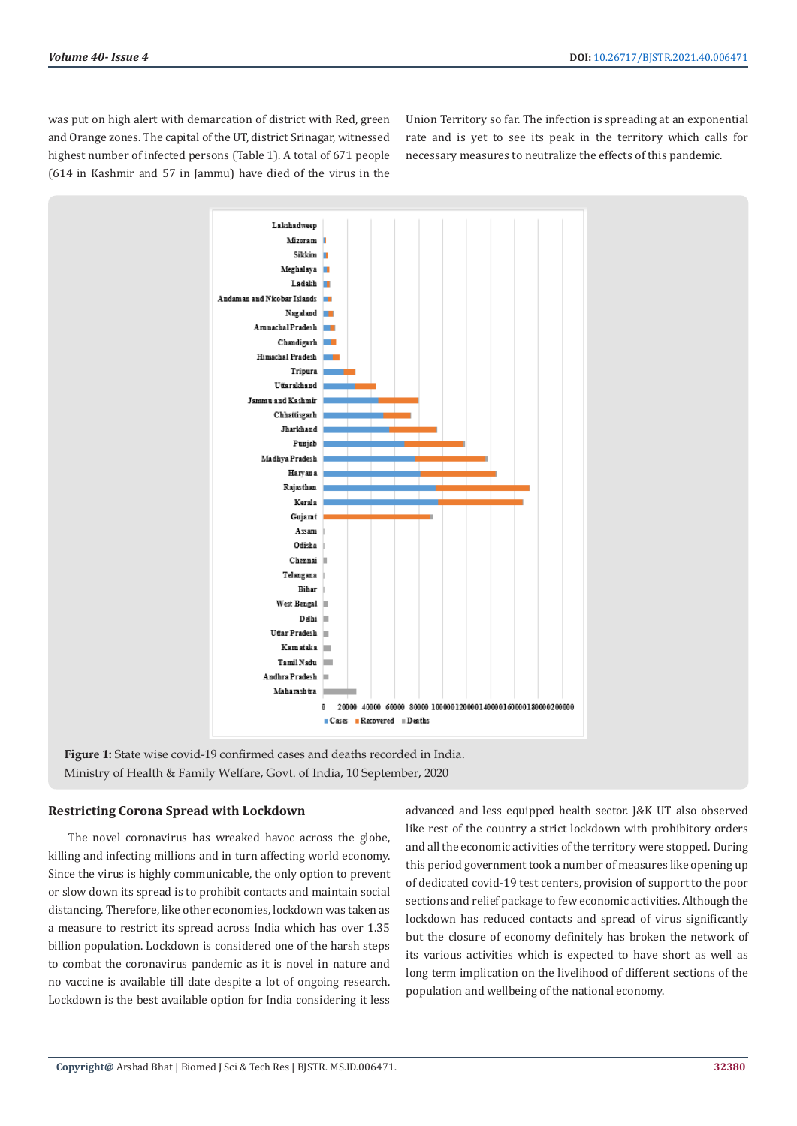was put on high alert with demarcation of district with Red, green and Orange zones. The capital of the UT, district Srinagar, witnessed highest number of infected persons (Table 1). A total of 671 people (614 in Kashmir and 57 in Jammu) have died of the virus in the Union Territory so far. The infection is spreading at an exponential rate and is yet to see its peak in the territory which calls for necessary measures to neutralize the effects of this pandemic.



**Figure 1:** State wise covid-19 confirmed cases and deaths recorded in India. Ministry of Health & Family Welfare, Govt. of India, 10 September, 2020

# **Restricting Corona Spread with Lockdown**

The novel coronavirus has wreaked havoc across the globe, killing and infecting millions and in turn affecting world economy. Since the virus is highly communicable, the only option to prevent or slow down its spread is to prohibit contacts and maintain social distancing. Therefore, like other economies, lockdown was taken as a measure to restrict its spread across India which has over 1.35 billion population. Lockdown is considered one of the harsh steps to combat the coronavirus pandemic as it is novel in nature and no vaccine is available till date despite a lot of ongoing research. Lockdown is the best available option for India considering it less

advanced and less equipped health sector. J&K UT also observed like rest of the country a strict lockdown with prohibitory orders and all the economic activities of the territory were stopped. During this period government took a number of measures like opening up of dedicated covid-19 test centers, provision of support to the poor sections and relief package to few economic activities. Although the lockdown has reduced contacts and spread of virus significantly but the closure of economy definitely has broken the network of its various activities which is expected to have short as well as long term implication on the livelihood of different sections of the population and wellbeing of the national economy.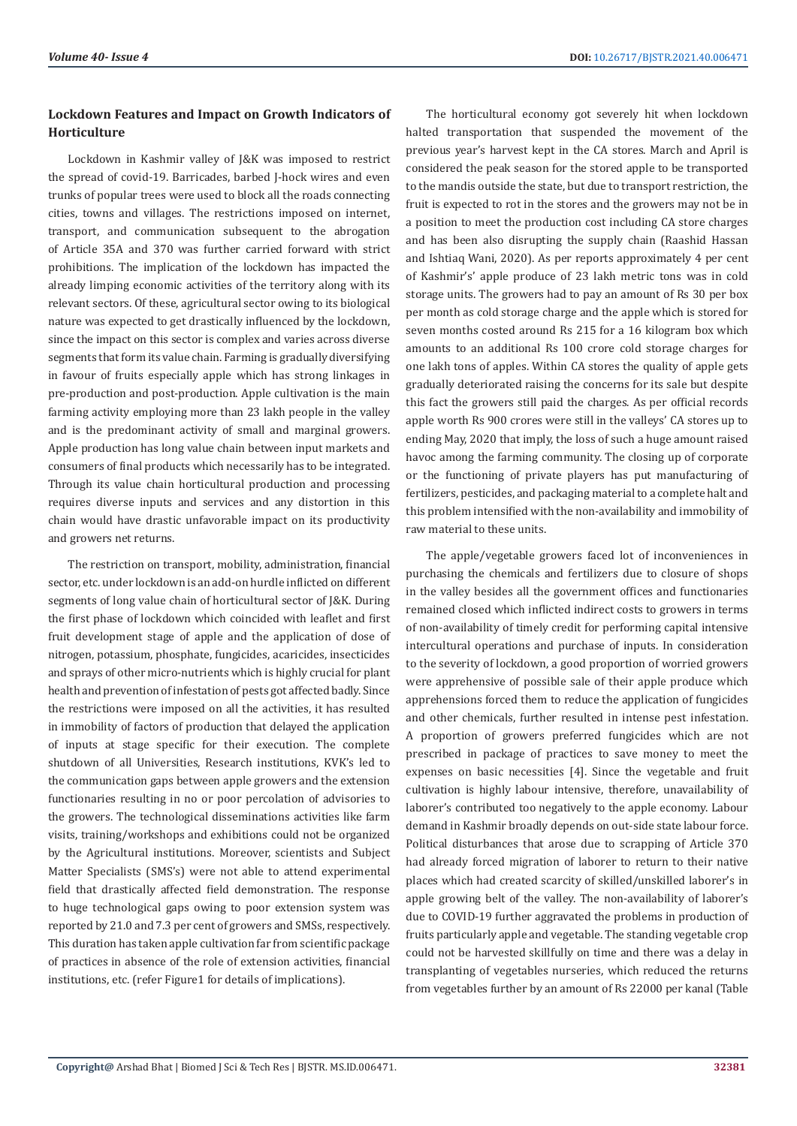# **Lockdown Features and Impact on Growth Indicators of Horticulture**

Lockdown in Kashmir valley of J&K was imposed to restrict the spread of covid-19. Barricades, barbed J-hock wires and even trunks of popular trees were used to block all the roads connecting cities, towns and villages. The restrictions imposed on internet, transport, and communication subsequent to the abrogation of Article 35A and 370 was further carried forward with strict prohibitions. The implication of the lockdown has impacted the already limping economic activities of the territory along with its relevant sectors. Of these, agricultural sector owing to its biological nature was expected to get drastically influenced by the lockdown, since the impact on this sector is complex and varies across diverse segments that form its value chain. Farming is gradually diversifying in favour of fruits especially apple which has strong linkages in pre-production and post-production. Apple cultivation is the main farming activity employing more than 23 lakh people in the valley and is the predominant activity of small and marginal growers. Apple production has long value chain between input markets and consumers of final products which necessarily has to be integrated. Through its value chain horticultural production and processing requires diverse inputs and services and any distortion in this chain would have drastic unfavorable impact on its productivity and growers net returns.

The restriction on transport, mobility, administration, financial sector, etc. under lockdown is an add-on hurdle inflicted on different segments of long value chain of horticultural sector of J&K. During the first phase of lockdown which coincided with leaflet and first fruit development stage of apple and the application of dose of nitrogen, potassium, phosphate, fungicides, acaricides, insecticides and sprays of other micro-nutrients which is highly crucial for plant health and prevention of infestation of pests got affected badly. Since the restrictions were imposed on all the activities, it has resulted in immobility of factors of production that delayed the application of inputs at stage specific for their execution. The complete shutdown of all Universities, Research institutions, KVK's led to the communication gaps between apple growers and the extension functionaries resulting in no or poor percolation of advisories to the growers. The technological disseminations activities like farm visits, training/workshops and exhibitions could not be organized by the Agricultural institutions. Moreover, scientists and Subject Matter Specialists (SMS's) were not able to attend experimental field that drastically affected field demonstration. The response to huge technological gaps owing to poor extension system was reported by 21.0 and 7.3 per cent of growers and SMSs, respectively. This duration has taken apple cultivation far from scientific package of practices in absence of the role of extension activities, financial institutions, etc. (refer Figure1 for details of implications).

The horticultural economy got severely hit when lockdown halted transportation that suspended the movement of the previous year's harvest kept in the CA stores. March and April is considered the peak season for the stored apple to be transported to the mandis outside the state, but due to transport restriction, the fruit is expected to rot in the stores and the growers may not be in a position to meet the production cost including CA store charges and has been also disrupting the supply chain (Raashid Hassan and Ishtiaq Wani, 2020). As per reports approximately 4 per cent of Kashmir's' apple produce of 23 lakh metric tons was in cold storage units. The growers had to pay an amount of Rs 30 per box per month as cold storage charge and the apple which is stored for seven months costed around Rs 215 for a 16 kilogram box which amounts to an additional Rs 100 crore cold storage charges for one lakh tons of apples. Within CA stores the quality of apple gets gradually deteriorated raising the concerns for its sale but despite this fact the growers still paid the charges. As per official records apple worth Rs 900 crores were still in the valleys' CA stores up to ending May, 2020 that imply, the loss of such a huge amount raised havoc among the farming community. The closing up of corporate or the functioning of private players has put manufacturing of fertilizers, pesticides, and packaging material to a complete halt and this problem intensified with the non-availability and immobility of raw material to these units.

The apple/vegetable growers faced lot of inconveniences in purchasing the chemicals and fertilizers due to closure of shops in the valley besides all the government offices and functionaries remained closed which inflicted indirect costs to growers in terms of non-availability of timely credit for performing capital intensive intercultural operations and purchase of inputs. In consideration to the severity of lockdown, a good proportion of worried growers were apprehensive of possible sale of their apple produce which apprehensions forced them to reduce the application of fungicides and other chemicals, further resulted in intense pest infestation. A proportion of growers preferred fungicides which are not prescribed in package of practices to save money to meet the expenses on basic necessities [4]. Since the vegetable and fruit cultivation is highly labour intensive, therefore, unavailability of laborer's contributed too negatively to the apple economy. Labour demand in Kashmir broadly depends on out-side state labour force. Political disturbances that arose due to scrapping of Article 370 had already forced migration of laborer to return to their native places which had created scarcity of skilled/unskilled laborer's in apple growing belt of the valley. The non-availability of laborer's due to COVID-19 further aggravated the problems in production of fruits particularly apple and vegetable. The standing vegetable crop could not be harvested skillfully on time and there was a delay in transplanting of vegetables nurseries, which reduced the returns from vegetables further by an amount of Rs 22000 per kanal (Table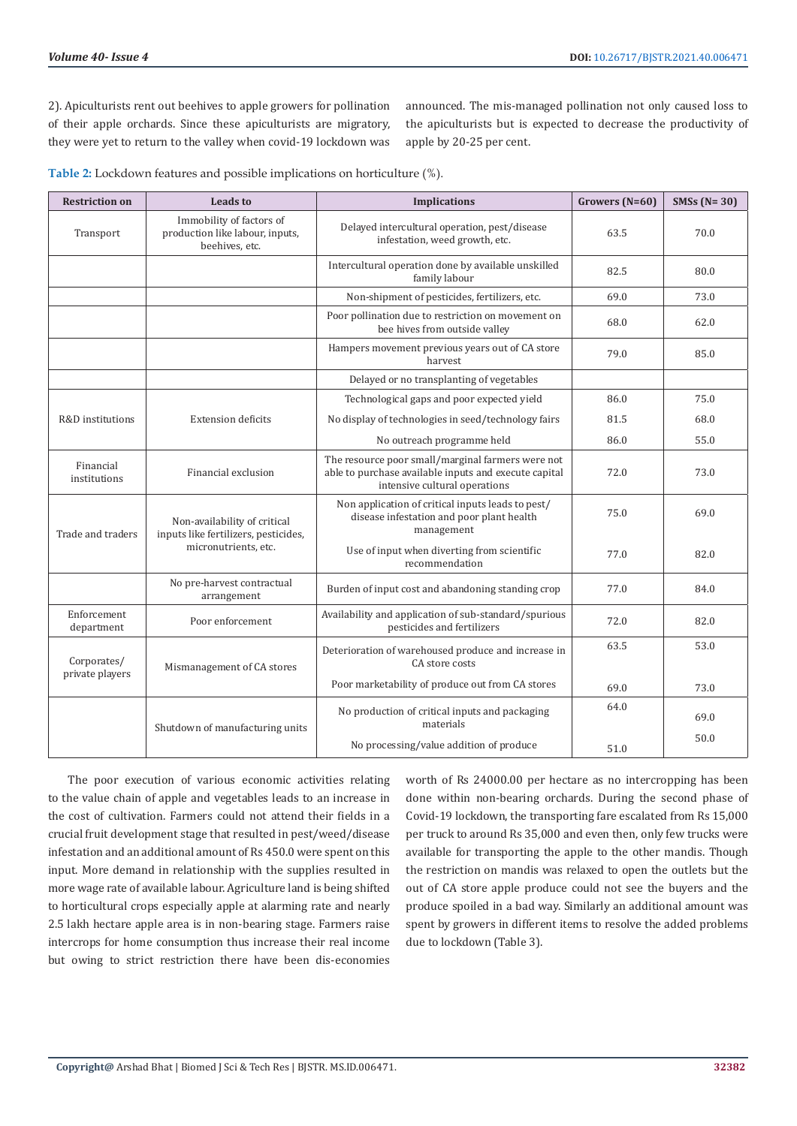2). Apiculturists rent out beehives to apple growers for pollination of their apple orchards. Since these apiculturists are migratory, they were yet to return to the valley when covid-19 lockdown was announced. The mis-managed pollination not only caused loss to the apiculturists but is expected to decrease the productivity of apple by 20-25 per cent.

**Table 2:** Lockdown features and possible implications on horticulture (%).

| <b>Restriction on</b>          | <b>Leads to</b>                                                                              | <b>Implications</b>                                                                                                                         | Growers (N=60) | SMSs $(N=30)$ |
|--------------------------------|----------------------------------------------------------------------------------------------|---------------------------------------------------------------------------------------------------------------------------------------------|----------------|---------------|
| Transport                      | Immobility of factors of<br>production like labour, inputs,<br>beehives, etc.                | Delayed intercultural operation, pest/disease<br>infestation, weed growth, etc.                                                             | 63.5           | 70.0          |
|                                |                                                                                              | Intercultural operation done by available unskilled<br>family labour                                                                        | 82.5           | 80.0          |
|                                |                                                                                              | Non-shipment of pesticides, fertilizers, etc.                                                                                               | 69.0           | 73.0          |
|                                |                                                                                              | Poor pollination due to restriction on movement on<br>bee hives from outside valley                                                         | 68.0           | 62.0          |
|                                |                                                                                              | Hampers movement previous years out of CA store<br>harvest                                                                                  | 79.0           | 85.0          |
|                                |                                                                                              | Delayed or no transplanting of vegetables                                                                                                   |                |               |
|                                |                                                                                              | Technological gaps and poor expected yield                                                                                                  | 86.0           | 75.0          |
| R&D institutions               | <b>Extension deficits</b>                                                                    | No display of technologies in seed/technology fairs                                                                                         | 81.5           | 68.0          |
|                                |                                                                                              | No outreach programme held                                                                                                                  | 86.0           | 55.0          |
| Financial<br>institutions      | Financial exclusion                                                                          | The resource poor small/marginal farmers were not<br>able to purchase available inputs and execute capital<br>intensive cultural operations | 72.0           | 73.0          |
| Trade and traders              | Non-availability of critical<br>inputs like fertilizers, pesticides,<br>micronutrients, etc. | Non application of critical inputs leads to pest/<br>disease infestation and poor plant health<br>management                                | 75.0           | 69.0          |
|                                |                                                                                              | Use of input when diverting from scientific<br>recommendation                                                                               | 77.0           | 82.0          |
|                                | No pre-harvest contractual<br>arrangement                                                    | Burden of input cost and abandoning standing crop                                                                                           | 77.0           | 84.0          |
| Enforcement<br>department      | Poor enforcement                                                                             | Availability and application of sub-standard/spurious<br>pesticides and fertilizers                                                         | 72.0           | 82.0          |
| Corporates/<br>private players | Mismanagement of CA stores                                                                   | Deterioration of warehoused produce and increase in<br>CA store costs                                                                       | 63.5           | 53.0          |
|                                |                                                                                              | Poor marketability of produce out from CA stores                                                                                            | 69.0           | 73.0          |
|                                | Shutdown of manufacturing units                                                              | No production of critical inputs and packaging<br>materials                                                                                 | 64.0           | 69.0          |
|                                |                                                                                              | No processing/value addition of produce                                                                                                     | 51.0           | 50.0          |

The poor execution of various economic activities relating to the value chain of apple and vegetables leads to an increase in the cost of cultivation. Farmers could not attend their fields in a crucial fruit development stage that resulted in pest/weed/disease infestation and an additional amount of Rs 450.0 were spent on this input. More demand in relationship with the supplies resulted in more wage rate of available labour. Agriculture land is being shifted to horticultural crops especially apple at alarming rate and nearly 2.5 lakh hectare apple area is in non-bearing stage. Farmers raise intercrops for home consumption thus increase their real income but owing to strict restriction there have been dis-economies

worth of Rs 24000.00 per hectare as no intercropping has been done within non-bearing orchards. During the second phase of Covid-19 lockdown, the transporting fare escalated from Rs 15,000 per truck to around Rs 35,000 and even then, only few trucks were available for transporting the apple to the other mandis. Though the restriction on mandis was relaxed to open the outlets but the out of CA store apple produce could not see the buyers and the produce spoiled in a bad way. Similarly an additional amount was spent by growers in different items to resolve the added problems due to lockdown (Table 3).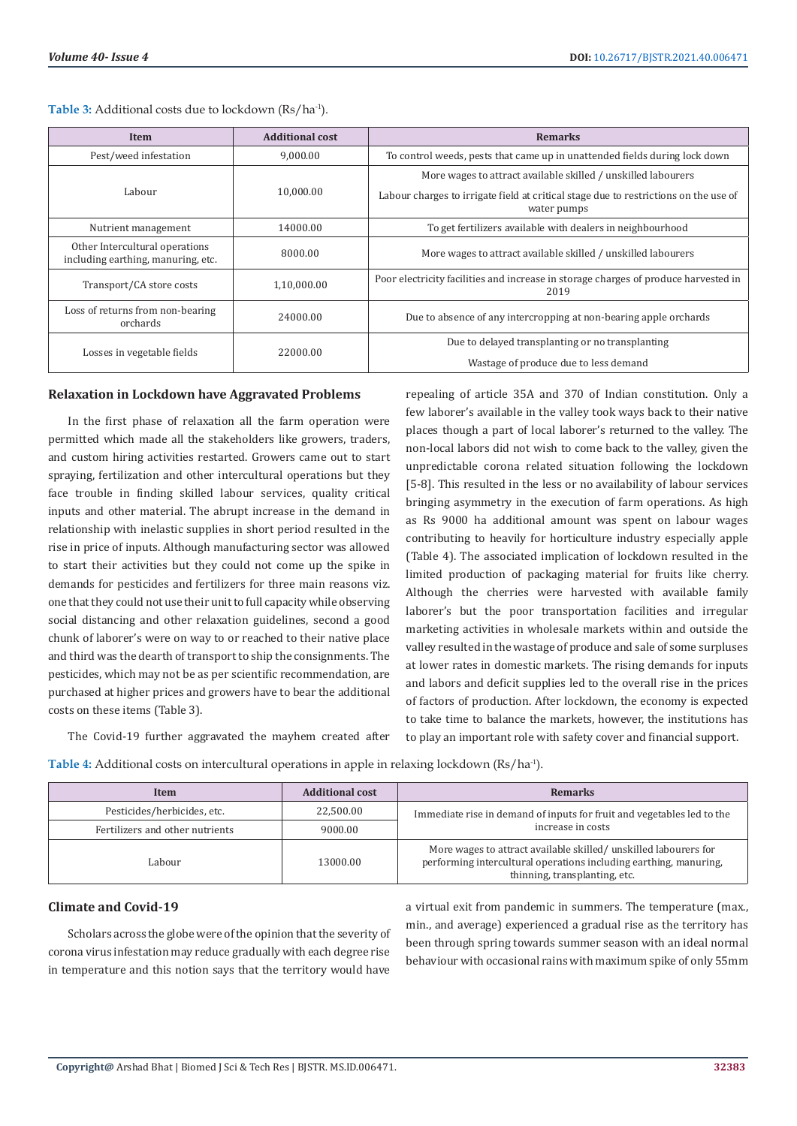| Item                                                                 | <b>Additional cost</b> | <b>Remarks</b>                                                                                                                                                       |  |
|----------------------------------------------------------------------|------------------------|----------------------------------------------------------------------------------------------------------------------------------------------------------------------|--|
| Pest/weed infestation                                                | 9.000.00               | To control weeds, pests that came up in unattended fields during lock down                                                                                           |  |
| Labour                                                               | 10.000.00              | More wages to attract available skilled / unskilled labourers<br>Labour charges to irrigate field at critical stage due to restrictions on the use of<br>water pumps |  |
| 14000.00<br>Nutrient management                                      |                        | To get fertilizers available with dealers in neighbourhood                                                                                                           |  |
| Other Intercultural operations<br>including earthing, manuring, etc. | 8000.00                | More wages to attract available skilled / unskilled labourers                                                                                                        |  |
| Transport/CA store costs                                             | 1,10,000.00            | Poor electricity facilities and increase in storage charges of produce harvested in<br>2019                                                                          |  |
| Loss of returns from non-bearing<br>24000.00<br>orchards             |                        | Due to absence of any intercropping at non-bearing apple orchards                                                                                                    |  |
| Losses in vegetable fields                                           | 22000.00               | Due to delayed transplanting or no transplanting<br>Wastage of produce due to less demand                                                                            |  |

Table 3: Additional costs due to lockdown (Rs/ha<sup>-1</sup>).

### **Relaxation in Lockdown have Aggravated Problems**

In the first phase of relaxation all the farm operation were permitted which made all the stakeholders like growers, traders, and custom hiring activities restarted. Growers came out to start spraying, fertilization and other intercultural operations but they face trouble in finding skilled labour services, quality critical inputs and other material. The abrupt increase in the demand in relationship with inelastic supplies in short period resulted in the rise in price of inputs. Although manufacturing sector was allowed to start their activities but they could not come up the spike in demands for pesticides and fertilizers for three main reasons viz. one that they could not use their unit to full capacity while observing social distancing and other relaxation guidelines, second a good chunk of laborer's were on way to or reached to their native place and third was the dearth of transport to ship the consignments. The pesticides, which may not be as per scientific recommendation, are purchased at higher prices and growers have to bear the additional costs on these items (Table 3).

repealing of article 35A and 370 of Indian constitution. Only a few laborer's available in the valley took ways back to their native places though a part of local laborer's returned to the valley. The non-local labors did not wish to come back to the valley, given the unpredictable corona related situation following the lockdown [5-8]. This resulted in the less or no availability of labour services bringing asymmetry in the execution of farm operations. As high as Rs 9000 ha additional amount was spent on labour wages contributing to heavily for horticulture industry especially apple (Table 4). The associated implication of lockdown resulted in the limited production of packaging material for fruits like cherry. Although the cherries were harvested with available family laborer's but the poor transportation facilities and irregular marketing activities in wholesale markets within and outside the valley resulted in the wastage of produce and sale of some surpluses at lower rates in domestic markets. The rising demands for inputs and labors and deficit supplies led to the overall rise in the prices of factors of production. After lockdown, the economy is expected to take time to balance the markets, however, the institutions has to play an important role with safety cover and financial support.

The Covid-19 further aggravated the mayhem created after

| Table 4: Additional costs on intercultural operations in apple in relaxing lockdown (Rs/ha <sup>-1</sup> ). |  |
|-------------------------------------------------------------------------------------------------------------|--|
|-------------------------------------------------------------------------------------------------------------|--|

| Item                            | <b>Additional cost</b> | <b>Remarks</b>                                                                                                                                                        |  |
|---------------------------------|------------------------|-----------------------------------------------------------------------------------------------------------------------------------------------------------------------|--|
| Pesticides/herbicides, etc.     | 22,500.00              | Immediate rise in demand of inputs for fruit and vegetables led to the                                                                                                |  |
| Fertilizers and other nutrients | 9000.00                | increase in costs                                                                                                                                                     |  |
| Labour                          | 13000.00               | More wages to attract available skilled/unskilled labourers for<br>performing intercultural operations including earthing, manuring,<br>thinning, transplanting, etc. |  |

# **Climate and Covid-19**

Scholars across the globe were of the opinion that the severity of corona virus infestation may reduce gradually with each degree rise in temperature and this notion says that the territory would have

a virtual exit from pandemic in summers. The temperature (max., min., and average) experienced a gradual rise as the territory has been through spring towards summer season with an ideal normal behaviour with occasional rains with maximum spike of only 55mm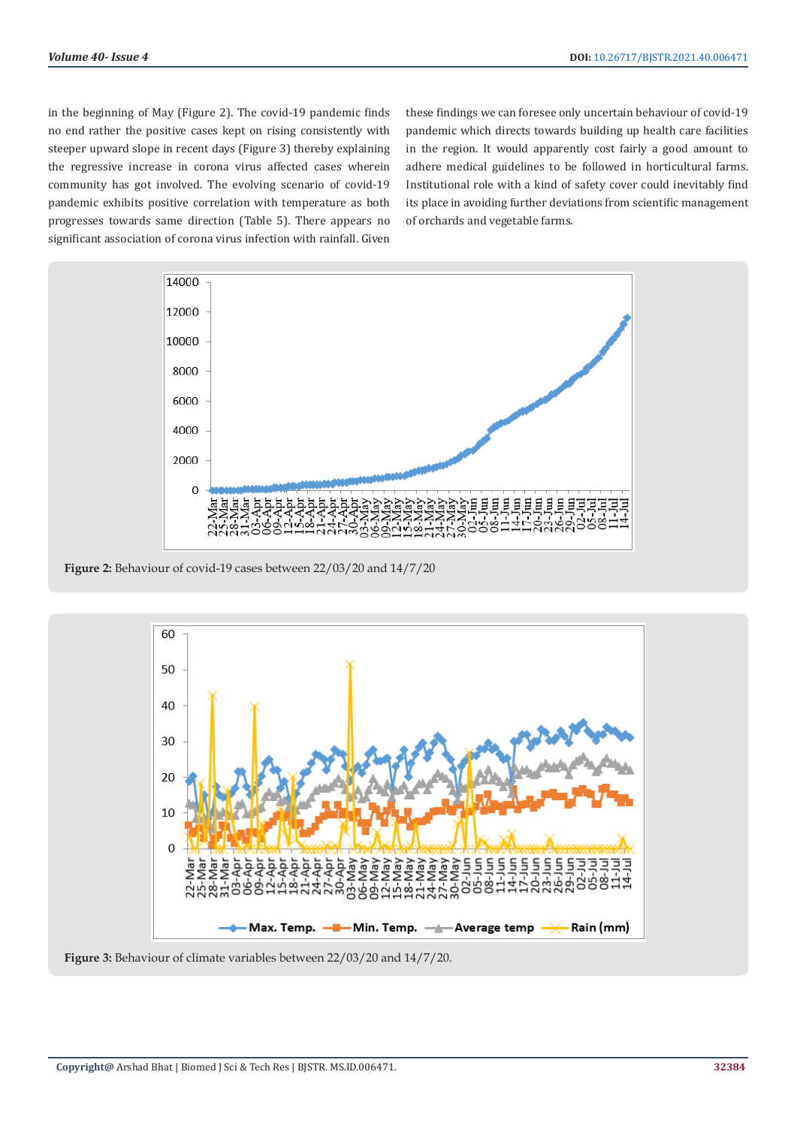in the beginning of May (Figure 2). The covid-19 pandemic finds no end rather the positive cases kept on rising consistently with steeper upward slope in recent days (Figure 3) thereby explaining the regressive increase in corona virus affected cases wherein community has got involved. The evolving scenario of covid-19 pandemic exhibits positive correlation with temperature as both progresses towards same direction (Table 5). There appears no significant association of corona virus infection with rainfall. Given

these findings we can foresee only uncertain behaviour of covid-19 pandemic which directs towards building up health care facilities in the region. It would apparently cost fairly a good amount to adhere medical guidelines to be followed in horticultural farms. Institutional role with a kind of safety cover could inevitably find its place in avoiding further deviations from scientific management of orchards and vegetable farms.



**Figure 2:** Behaviour of covid-19 cases between 22/03/20 and 14/7/20



**Figure 3:** Behaviour of climate variables between 22/03/20 and 14/7/20.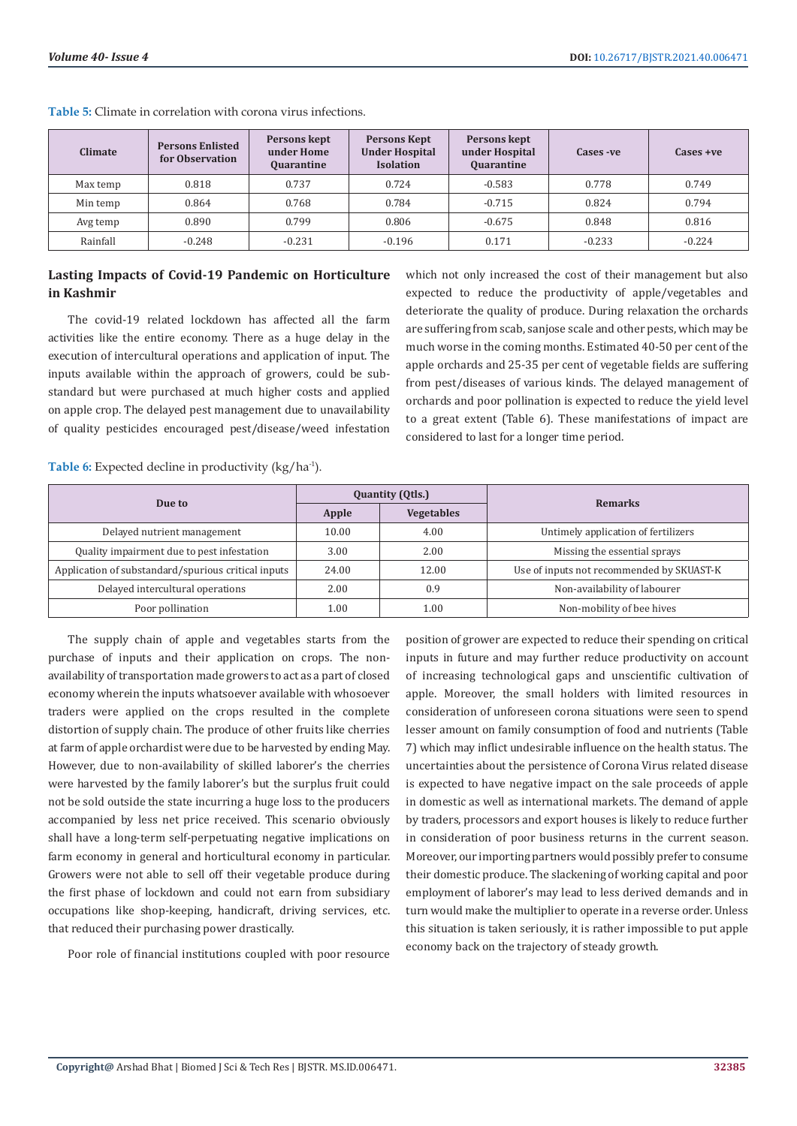| <b>Climate</b> | <b>Persons Enlisted</b><br>for Observation | Persons kept<br>under Home<br><b>Quarantine</b> | <b>Persons Kept</b><br><b>Under Hospital</b><br><b>Isolation</b> | Persons kept<br>under Hospital<br><b>Quarantine</b> | Cases - ve | $\csc +ve$ |
|----------------|--------------------------------------------|-------------------------------------------------|------------------------------------------------------------------|-----------------------------------------------------|------------|------------|
| Max temp       | 0.818                                      | 0.737                                           | 0.724                                                            | $-0.583$                                            | 0.778      | 0.749      |
| Min temp       | 0.864                                      | 0.768                                           | 0.784                                                            | $-0.715$                                            | 0.824      | 0.794      |
| Avg temp       | 0.890                                      | 0.799                                           | 0.806                                                            | $-0.675$                                            | 0.848      | 0.816      |
| Rainfall       | $-0.248$                                   | $-0.231$                                        | $-0.196$                                                         | 0.171                                               | $-0.233$   | $-0.224$   |

**Table 5:** Climate in correlation with corona virus infections.

# **Lasting Impacts of Covid-19 Pandemic on Horticulture in Kashmir**

The covid-19 related lockdown has affected all the farm activities like the entire economy. There as a huge delay in the execution of intercultural operations and application of input. The inputs available within the approach of growers, could be substandard but were purchased at much higher costs and applied on apple crop. The delayed pest management due to unavailability of quality pesticides encouraged pest/disease/weed infestation

which not only increased the cost of their management but also expected to reduce the productivity of apple/vegetables and deteriorate the quality of produce. During relaxation the orchards are suffering from scab, sanjose scale and other pests, which may be much worse in the coming months. Estimated 40-50 per cent of the apple orchards and 25-35 per cent of vegetable fields are suffering from pest/diseases of various kinds. The delayed management of orchards and poor pollination is expected to reduce the yield level to a great extent (Table 6). These manifestations of impact are considered to last for a longer time period.

**Table 6:** Expected decline in productivity (kg/ha-1).

|                                                     |       | <b>Quantity (Qtls.)</b> |                                           |  |
|-----------------------------------------------------|-------|-------------------------|-------------------------------------------|--|
| Due to                                              | Apple | <b>Vegetables</b>       | <b>Remarks</b>                            |  |
| Delayed nutrient management                         | 10.00 | 4.00                    | Untimely application of fertilizers       |  |
| Quality impairment due to pest infestation          | 3.00  | 2.00                    | Missing the essential sprays              |  |
| Application of substandard/spurious critical inputs | 24.00 | 12.00                   | Use of inputs not recommended by SKUAST-K |  |
| Delayed intercultural operations                    | 2.00  | 0.9                     | Non-availability of labourer              |  |
| Poor pollination                                    | 1.00  | 1.00                    | Non-mobility of bee hives                 |  |

The supply chain of apple and vegetables starts from the purchase of inputs and their application on crops. The nonavailability of transportation made growers to act as a part of closed economy wherein the inputs whatsoever available with whosoever traders were applied on the crops resulted in the complete distortion of supply chain. The produce of other fruits like cherries at farm of apple orchardist were due to be harvested by ending May. However, due to non-availability of skilled laborer's the cherries were harvested by the family laborer's but the surplus fruit could not be sold outside the state incurring a huge loss to the producers accompanied by less net price received. This scenario obviously shall have a long-term self-perpetuating negative implications on farm economy in general and horticultural economy in particular. Growers were not able to sell off their vegetable produce during the first phase of lockdown and could not earn from subsidiary occupations like shop-keeping, handicraft, driving services, etc. that reduced their purchasing power drastically.

Poor role of financial institutions coupled with poor resource

position of grower are expected to reduce their spending on critical inputs in future and may further reduce productivity on account of increasing technological gaps and unscientific cultivation of apple. Moreover, the small holders with limited resources in consideration of unforeseen corona situations were seen to spend lesser amount on family consumption of food and nutrients (Table 7) which may inflict undesirable influence on the health status. The uncertainties about the persistence of Corona Virus related disease is expected to have negative impact on the sale proceeds of apple in domestic as well as international markets. The demand of apple by traders, processors and export houses is likely to reduce further in consideration of poor business returns in the current season. Moreover, our importing partners would possibly prefer to consume their domestic produce. The slackening of working capital and poor employment of laborer's may lead to less derived demands and in turn would make the multiplier to operate in a reverse order. Unless this situation is taken seriously, it is rather impossible to put apple economy back on the trajectory of steady growth.